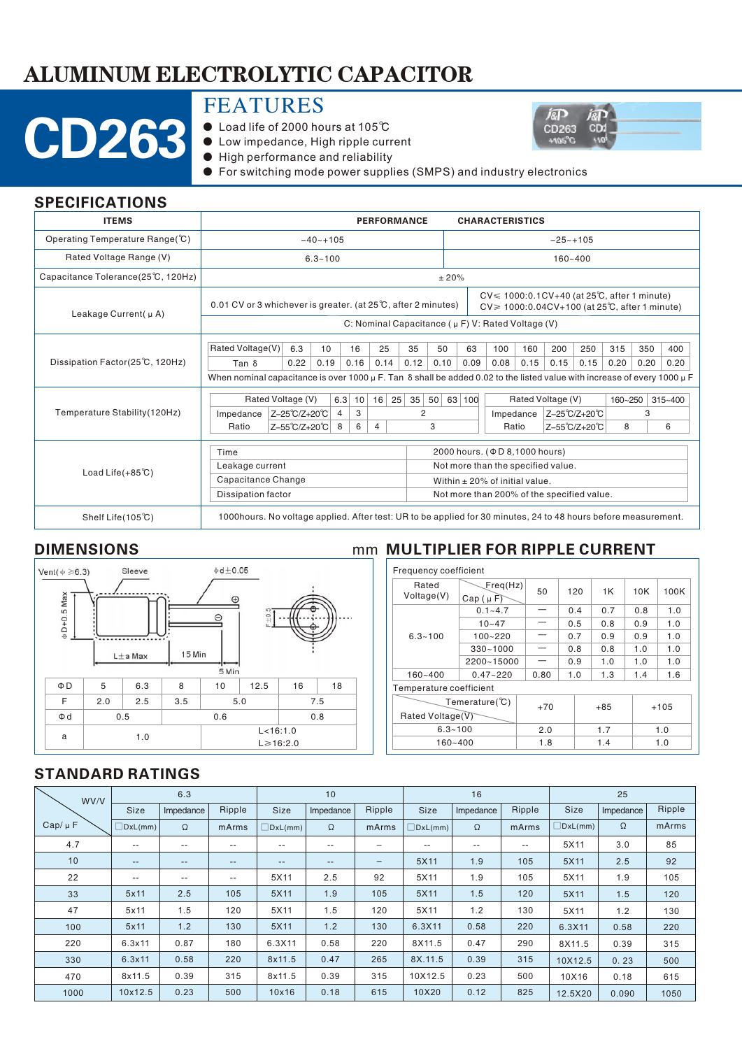# ALUMINUM ELECTROLYTIC CAPACITOR

# CD263

## FEATURES

- Load life of 2000 hours at 105℃
- Low impedance, High ripple current
- High performance and reliability



#### SPECIFICATIONS

| <b>ITEMS</b>                       | <b>PERFORMANCE</b>                                                                                                                      |                                                                                                                                                                                           |                   |      |                |    |           |                                    |                                            |              |             | <b>CHARACTERISTICS</b>               |      |               |             |      |             |      |
|------------------------------------|-----------------------------------------------------------------------------------------------------------------------------------------|-------------------------------------------------------------------------------------------------------------------------------------------------------------------------------------------|-------------------|------|----------------|----|-----------|------------------------------------|--------------------------------------------|--------------|-------------|--------------------------------------|------|---------------|-------------|------|-------------|------|
| Operating Temperature Range(°C)    | $-40 - +105$                                                                                                                            |                                                                                                                                                                                           |                   |      |                |    |           |                                    |                                            | $-25 - +105$ |             |                                      |      |               |             |      |             |      |
| Rated Voltage Range (V)            | $6.3 - 100$                                                                                                                             |                                                                                                                                                                                           |                   |      |                |    |           |                                    |                                            |              | $160 - 400$ |                                      |      |               |             |      |             |      |
| Capacitance Tolerance(25°C, 120Hz) |                                                                                                                                         |                                                                                                                                                                                           |                   |      |                |    |           | ±20%                               |                                            |              |             |                                      |      |               |             |      |             |      |
| Leakage Current( µ A)              |                                                                                                                                         | $CV \le 1000:0.1CV + 40$ (at 25 $°C$ , after 1 minute)<br>0.01 CV or 3 whichever is greater. (at $25^{\circ}$ C, after 2 minutes)<br>$CV \ge 1000:0.04CV + 100$ (at 25°C, after 1 minute) |                   |      |                |    |           |                                    |                                            |              |             |                                      |      |               |             |      |             |      |
|                                    | C: Nominal Capacitance ( $\mu$ F) V: Rated Voltage (V)                                                                                  |                                                                                                                                                                                           |                   |      |                |    |           |                                    |                                            |              |             |                                      |      |               |             |      |             |      |
|                                    | Rated Voltage(V)                                                                                                                        |                                                                                                                                                                                           | 6.3               | 10   | 16             |    | 25        | 35                                 |                                            | 50           | 63          | 100                                  | 160  | 200           | 250         | 315  | 350         | 400  |
| Dissipation Factor(25℃, 120Hz)     | Tan δ                                                                                                                                   |                                                                                                                                                                                           | 0.22              | 0.19 | 0.16           |    | 0.14      | 0.12                               |                                            | 0.10         | 0.09        | 0.08                                 | 0.15 | 0.15          | 0.15        | 0.20 | 0.20        | 0.20 |
|                                    | When nominal capacitance is over 1000 $\mu$ F. Tan $\delta$ shall be added 0.02 to the listed value with increase of every 1000 $\mu$ F |                                                                                                                                                                                           |                   |      |                |    |           |                                    |                                            |              |             |                                      |      |               |             |      |             |      |
|                                    |                                                                                                                                         |                                                                                                                                                                                           | Rated Voltage (V) |      | 6.3            | 10 | $16$   25 |                                    | 50   63   100<br>35                        |              |             | Rated Voltage (V)                    |      |               | 160~250     |      | $315 - 400$ |      |
| Temperature Stability (120Hz)      | Impedance                                                                                                                               | Z-25°C/Z+20°C                                                                                                                                                                             |                   |      | $\overline{4}$ | 3  |           | $\overline{2}$                     |                                            |              |             | Impedance                            |      | Z-25°C/Z+20°C |             |      | 3           |      |
|                                    | Ratio                                                                                                                                   |                                                                                                                                                                                           | Z-55°C/Z+20°C     | 8    |                | 6  | 4         |                                    |                                            | 3            |             | Ratio                                |      |               | Z-55℃/Z+20℃ | 8    |             | 6    |
|                                    | Time                                                                                                                                    |                                                                                                                                                                                           |                   |      |                |    |           |                                    |                                            |              |             | 2000 hours. ( $\Phi$ D 8,1000 hours) |      |               |             |      |             |      |
|                                    | Leakage current                                                                                                                         |                                                                                                                                                                                           |                   |      |                |    |           |                                    | Not more than the specified value.         |              |             |                                      |      |               |             |      |             |      |
| Load Life $(+85^{\circ}\text{C})$  | Capacitance Change                                                                                                                      |                                                                                                                                                                                           |                   |      |                |    |           | Within $\pm$ 20% of initial value. |                                            |              |             |                                      |      |               |             |      |             |      |
|                                    | <b>Dissipation factor</b>                                                                                                               |                                                                                                                                                                                           |                   |      |                |    |           |                                    | Not more than 200% of the specified value. |              |             |                                      |      |               |             |      |             |      |
| Shelf Life $(105^{\circ}\text{C})$ | 1000hours. No voltage applied. After test: UR to be applied for 30 minutes, 24 to 48 hours before measurement.                          |                                                                                                                                                                                           |                   |      |                |    |           |                                    |                                            |              |             |                                      |      |               |             |      |             |      |



### DIMENSIONS mm MULTIPLIER FOR RIPPLE CURRENT

| Frequency coefficient   |                             |       |     |  |       |     |        |  |  |
|-------------------------|-----------------------------|-------|-----|--|-------|-----|--------|--|--|
| Rated<br>Voltage(V)     | Freq(Hz)                    | 50    | 120 |  | 1K    | 10K | 100K   |  |  |
|                         | $Cap(\mu F)$<br>$0.1 - 4.7$ |       | 0.4 |  | 0.7   | 0.8 | 1.0    |  |  |
|                         | $10 - 47$                   |       | 0.5 |  | 0.8   | 0.9 | 1.0    |  |  |
| $6.3 - 100$             | $100 - 220$                 |       | 0.7 |  | 0.9   | 0.9 | 1.0    |  |  |
|                         | $330 - 1000$                |       | 0.8 |  | 0.8   | 1.0 | 1.0    |  |  |
|                         | 2200~15000                  |       | 0.9 |  | 1.0   | 1.0 | 1.0    |  |  |
| $160 - 400$             | $0.47 - 220$                | 0.80  | 1.0 |  | 1.3   | 1.4 | 1.6    |  |  |
| Temperature coefficient |                             |       |     |  |       |     |        |  |  |
|                         | Temerature( $^{\circ}$ C)   | $+70$ |     |  | $+85$ |     | $+105$ |  |  |
| Rated Voltage(V)        |                             |       |     |  |       |     |        |  |  |
| $6.3 - 100$             |                             | 2.0   |     |  | 1.7   |     | 1.0    |  |  |
| 160~400                 |                             | 1.8   |     |  | 1.4   |     | 1.0    |  |  |

**i**sp

CD263

*i*ap  $CD_4$ 

#### STANDARD RATINGS

| WV/V        |                   | 6.3       |                   |                   | 10                |                   |                | 16                |        | 25             |           |        |
|-------------|-------------------|-----------|-------------------|-------------------|-------------------|-------------------|----------------|-------------------|--------|----------------|-----------|--------|
|             | <b>Size</b>       | Impedance | Ripple            | Size              | Impedance         | Ripple            | <b>Size</b>    | Impedance         | Ripple | Size           | Impedance | Ripple |
| $Cap/\mu F$ | $\exists$ DxL(mm) | Ω         | mArms             | JDxL(mm)          | $\Omega$          | mArms             | $\Box$ DxL(mm) | Ω                 | mArms  | $\Box$ DxL(mm) | Ω         | mArms  |
| 4.7         | $- -$             | $- -$     | $- -$             | $- -$             | $- -$             | -                 | $-$            | $\qquad \qquad -$ | --     | 5X11           | 3.0       | 85     |
| 10          | $- -$             | $- -$     | $\qquad \qquad -$ | $\qquad \qquad -$ | $\qquad \qquad -$ | $\qquad \qquad -$ | 5X11           | 1.9               | 105    | 5X11           | 2.5       | 92     |
| 22          | $- -$             | $- -$     | $- -$             | 5X11              | 2.5               | 92                | 5X11           | 1.9               | 105    | 5X11           | 1.9       | 105    |
| 33          | 5x11              | 2.5       | 105               | 5X11              | 1.9               | 105               | 5X11           | 1.5               | 120    | 5X11           | 1.5       | 120    |
| 47          | 5x11              | 1.5       | 120               | 5X11              | 1.5               | 120               | 5X11           | 1.2               | 130    | 5X11           | 1.2       | 130    |
| 100         | 5x11              | 1.2       | 130               | 5X11              | 1.2               | 130               | 6.3X11         | 0.58              | 220    | 6.3X11         | 0.58      | 220    |
| 220         | 6.3x11            | 0.87      | 180               | 6.3X11            | 0.58              | 220               | 8X11.5         | 0.47              | 290    | 8X11.5         | 0.39      | 315    |
| 330         | 6.3x11            | 0.58      | 220               | 8x11.5            | 0.47              | 265               | 8X.11.5        | 0.39              | 315    | 10X12.5        | 0.23      | 500    |
| 470         | 8x11.5            | 0.39      | 315               | 8x11.5            | 0.39              | 315               | 10X12.5        | 0.23              | 500    | 10X16          | 0.18      | 615    |
| 1000        | 10x12.5           | 0.23      | 500               | 10x16             | 0.18              | 615               | 10X20          | 0.12              | 825    | 12.5X20        | 0.090     | 1050   |